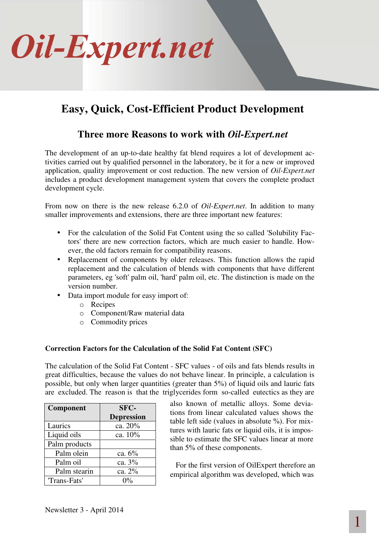

# **Easy, Quick, Cost-Efficient Product Development**

## **Three more Reasons to work with** *Oil-Expert.net*

The development of an up-to-date healthy fat blend requires a lot of development activities carried out by qualified personnel in the laboratory, be it for a new or improved application, quality improvement or cost reduction. The new version of *Oil-Expert.net* includes a product development management system that covers the complete product development cycle.

From now on there is the new release 6.2.0 of *Oil-Expert.net*. In addition to many smaller improvements and extensions, there are three important new features:

- For the calculation of the Solid Fat Content using the so called 'Solubility Factors' there are new correction factors, which are much easier to handle. However, the old factors remain for compatibility reasons.
- Replacement of components by older releases. This function allows the rapid replacement and the calculation of blends with components that have different parameters, eg 'soft' palm oil, 'hard' palm oil, etc. The distinction is made on the version number.
- Data import module for easy import of:
	- o Recipes
	- o Component/Raw material data
	- o Commodity prices

### **Correction Factors for the Calculation of the Solid Fat Content (SFC)**

The calculation of the Solid Fat Content - SFC values - of oils and fats blends results in great difficulties, because the values do not behave linear. In principle, a calculation is possible, but only when larger quantities (greater than 5%) of liquid oils and lauric fats are excluded. The reason is that the triglycerides form so-called eutectics as they are

| Component     | SFC-              |
|---------------|-------------------|
|               | <b>Depression</b> |
| Laurics       | ca. 20%           |
| Liquid oils   | ca. 10%           |
| Palm products |                   |
| Palm olein    | ca. $6\%$         |
| Palm oil      | ca. 3%            |
| Palm stearin  | ca. 2%            |
| 'Trans-Fats'  | $\Omega\%$        |

also known of metallic alloys. Some deviations from linear calculated values shows the table left side (values in absolute %). For mixtures with lauric fats or liquid oils, it is impossible to estimate the SFC values linear at more than 5% of these components.

For the first version of OilExpert therefore an empirical algorithm was developed, which was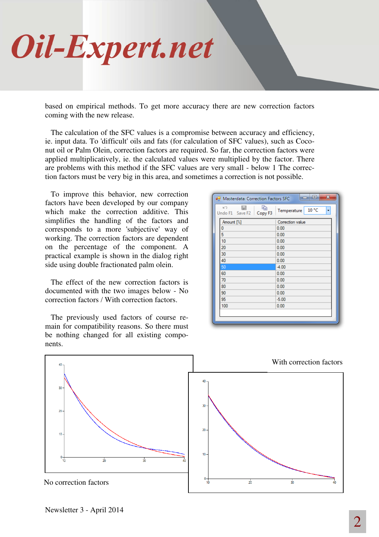

based on empirical methods. To get more accuracy there are new correction factors coming with the new release.

The calculation of the SFC values is a compromise between accuracy and efficiency, ie. input data. To 'difficult' oils and fats (for calculation of SFC values), such as Coconut oil or Palm Olein, correction factors are required. So far, the correction factors were applied multiplicatively, ie. the calculated values were multiplied by the factor. There are problems with this method if the SFC values are very small - below 1 The correction factors must be very big in this area, and sometimes a correction is not possible.

To improve this behavior, new correction factors have been developed by our company which make the correction additive. This simplifies the handling of the factors and corresponds to a more 'subjective' way of working. The correction factors are dependent on the percentage of the component. A practical example is shown in the dialog right side using double fractionated palm olein.

The effect of the new correction factors is documented with the two images below - No correction factors / With correction factors.

The previously used factors of course remain for compatibility reasons. So there must be nothing changed for all existing components.

| K<br>Ð<br>딥<br>Undo F1 Save F2 Copy F3 | 10 °C<br>Temperature<br>٠ |
|----------------------------------------|---------------------------|
| Amount [%]                             | Correction value          |
| 0                                      | 0.00                      |
| 5                                      | 0.00                      |
| 10                                     | 0.00                      |
| 20                                     | 0.00                      |
| 30                                     | 0.00                      |
| 40                                     | 0.00                      |
| 50                                     | $-4.00$                   |
| 60                                     | 0.00                      |
| 70                                     | 0.00                      |
| 80                                     | 0.00                      |
| 90                                     | 0.00                      |
| 95                                     | $-5.00$                   |
| 100                                    | 0.00                      |
|                                        |                           |

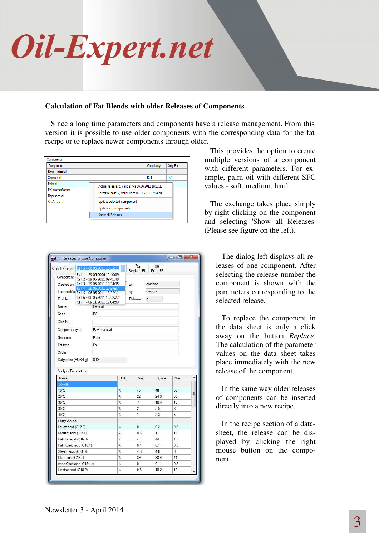

#### **Calculation of Fat Blends with older Releases of Components**

Since a long time parameters and components have a release management. From this version it is possible to use older components with the corresponding data for the fat recipe or to replace newer components through older.

| Component            |                                                    | Completely                                         | Only Fat |  |  |
|----------------------|----------------------------------------------------|----------------------------------------------------|----------|--|--|
| <b>Raw material</b>  |                                                    |                                                    |          |  |  |
| Coconut oil          |                                                    | 13.1                                               | 13.1     |  |  |
| Palm oil             |                                                    | Actual release: 5, valid since 06.06.2011 18:32:11 |          |  |  |
| PK Interestification | Latest release: 7, valid since 09.11.2011 12:04:50 |                                                    |          |  |  |
| Rapeseed oil         |                                                    |                                                    |          |  |  |
| Sunflower oil        | Update selected component                          |                                                    |          |  |  |
|                      | Update all components                              |                                                    |          |  |  |
|                      | <b>Show all Releases</b>                           |                                                    |          |  |  |

| Select Release Rel. 5 - 06.06.2011 18:32:11       |                                                              |                    | ħ<br>Replace F1 | ø<br>Print F <sub>2</sub> |           |  |
|---------------------------------------------------|--------------------------------------------------------------|--------------------|-----------------|---------------------------|-----------|--|
| Component                                         | Rel. 1 - 29.05.2006 12:40:09<br>Rel. 2 - 19.05.2011 09:45:48 |                    |                 |                           |           |  |
| Created on: Rel. 3 - 19.05.2011 10:34:35          |                                                              |                    | by:             | comicon                   |           |  |
|                                                   | Rel. 4 - 19.05.2011 10:37:37                                 |                    | by:             | comicon                   |           |  |
| Last modified Rel. 5 - 06.06.2011 18:32:11        | Rel. 6 - 06.06.2011 18:32:27                                 |                    |                 |                           |           |  |
| Enabled:                                          | Rel. 7 - 09.11.2011 12:04:50                                 |                    | Release:        | 5                         |           |  |
| Name                                              | Palm oil                                                     |                    |                 |                           |           |  |
| Code                                              | PA                                                           |                    |                 |                           |           |  |
| CAS No.:                                          |                                                              |                    |                 |                           |           |  |
| Component type:                                   | Raw material                                                 |                    |                 |                           |           |  |
| Grouping                                          | Palm                                                         |                    |                 |                           |           |  |
| Fat type                                          | Fat                                                          |                    |                 |                           |           |  |
| Origin                                            |                                                              |                    |                 |                           |           |  |
| Daily price (EUR/kg)                              | 0.68                                                         |                    |                 |                           |           |  |
|                                                   |                                                              |                    |                 |                           |           |  |
| Name                                              |                                                              | Unit               | Min             | Typical                   | Max       |  |
| <b>Solids</b>                                     |                                                              |                    |                 |                           |           |  |
|                                                   |                                                              | X                  | 45              | 48                        | 55        |  |
|                                                   |                                                              | $\frac{2}{\hbar}$  | 22              | 24.3                      | 30        |  |
|                                                   |                                                              | X                  | 7               | 10.4                      | 13        |  |
| $10^{\circ}$ C<br>20°C<br>30°C<br>35°C            |                                                              | $\%$               | $\overline{2}$  | 5.5                       | 8         |  |
|                                                   |                                                              | X                  | 1               | 3.3                       | 5         |  |
| Analysis Parameters<br>40°C<br><b>Fatty Acids</b> |                                                              |                    |                 |                           |           |  |
| Lauric acid (C12:0)                               |                                                              | %                  | 0               | 0.2                       | 0.3       |  |
| Myristic acid (C14:0)                             |                                                              | Ý.                 | 0.8             | 1                         | 1.3       |  |
| Palmitic acid (C16:0)                             |                                                              | V.                 | 41              | 44                        | 45        |  |
| Palmitoleic acid (C16:1)                          |                                                              | Ý.                 | 0.1             | 0.1                       | 0.3       |  |
| Stearic acid (C18:0)                              |                                                              | %                  | 4.3             | 4.8                       | 6         |  |
| Oleic acid (C18:1)<br>trans-Oleic acid (C18:1t)   |                                                              | $\frac{d}{d}$<br>% | 39<br>O         | 38.4<br>0.1               | 41<br>0.3 |  |

This provides the option to create multiple versions of a component with different parameters. For example, palm oil with different SFC values - soft, medium, hard.

The exchange takes place simply by right clicking on the component and selecting 'Show all Releases' (Please see figure on the left).

> The dialog left displays all releases of one component. After selecting the release number the component is shown with the parameters corresponding to the selected release.

> To replace the component in the data sheet is only a click away on the button *Replace*. The calculation of the parameter values on the data sheet takes place immediately with the new release of the component.

> In the same way older releases of components can be inserted directly into a new recipe.

> In the recipe section of a datasheet, the release can be displayed by clicking the right mouse button on the component.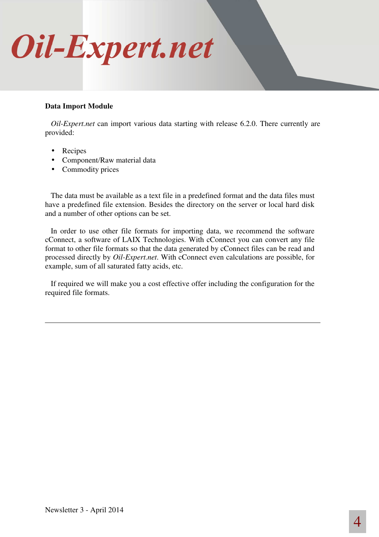

#### **Data Import Module**

*Oil-Expert.net* can import various data starting with release 6.2.0. There currently are provided:

- Recipes
- Component/Raw material data
- Commodity prices

The data must be available as a text file in a predefined format and the data files must have a predefined file extension. Besides the directory on the server or local hard disk and a number of other options can be set.

In order to use other file formats for importing data, we recommend the software cConnect, a software of LAIX Technologies. With cConnect you can convert any file format to other file formats so that the data generated by cConnect files can be read and processed directly by *Oil-Expert.net*. With cConnect even calculations are possible, for example, sum of all saturated fatty acids, etc.

If required we will make you a cost effective offer including the configuration for the required file formats.